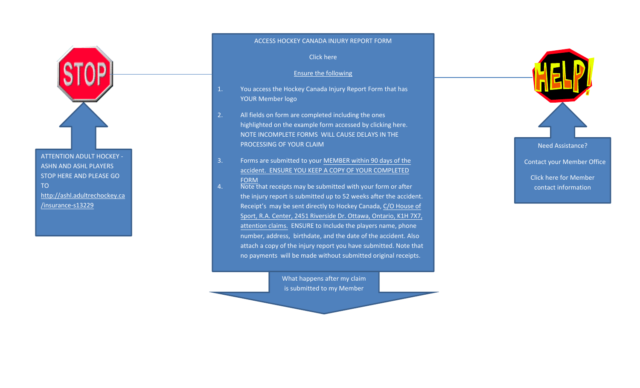ATTENTION ADULT HOCKEY -ASHN AND ASHL PLAYERS STOP HERE AND PLEASE GO TO [http://ashl.adultrechockey.ca](http://ashl.adultrechockey.ca/insurance-s13229)/insurance-s13229

## ACCESS HOCKEY CANADA INJURY REPORT FORM

[Click here](http://members.hockeycanada.ca/insurance/forms/index.asp)

## Ensure the following

- 1. You access the Hockey Canada Injury Report Form that hasYOUR Member logo
- 2. All fields on form are completed including the ones highlighted on the example form accessed by [clicking here](http://cdn.agilitycms.com/hockey-canada/Hockey-Programs/Safety/Insurance/Downloads/sample_injury_report_e.pdf).NOTE INCOMPLETE FORMS WILL CAUSE DELAYS IN THEPROCESSING OF YOUR CLAIM
- 3.. Forms are submitted to your <u>MEMBER within 90 days of the</u> accident. ENSURE YOU KEEP A COPY OF YOUR COMPLETED FORM
- Note that receipts may be submitted with your form or after4.the injury report is submitted up to 52 weeks after the accident.Receipt's may be sent directly to Hockey Canada, C/O House of Sport, R.A. Center, 2451 Riverside Dr. Ottawa, Ontario, K1H 7X7, attention claims. ENSURE to Include the players name, phone number, address, birthdate, and the date of the accident. Also attach a copy of the injury report you have submitted. Note that no payments will be made without submitted original receipts.

What happens after my claim is submitted to my Member